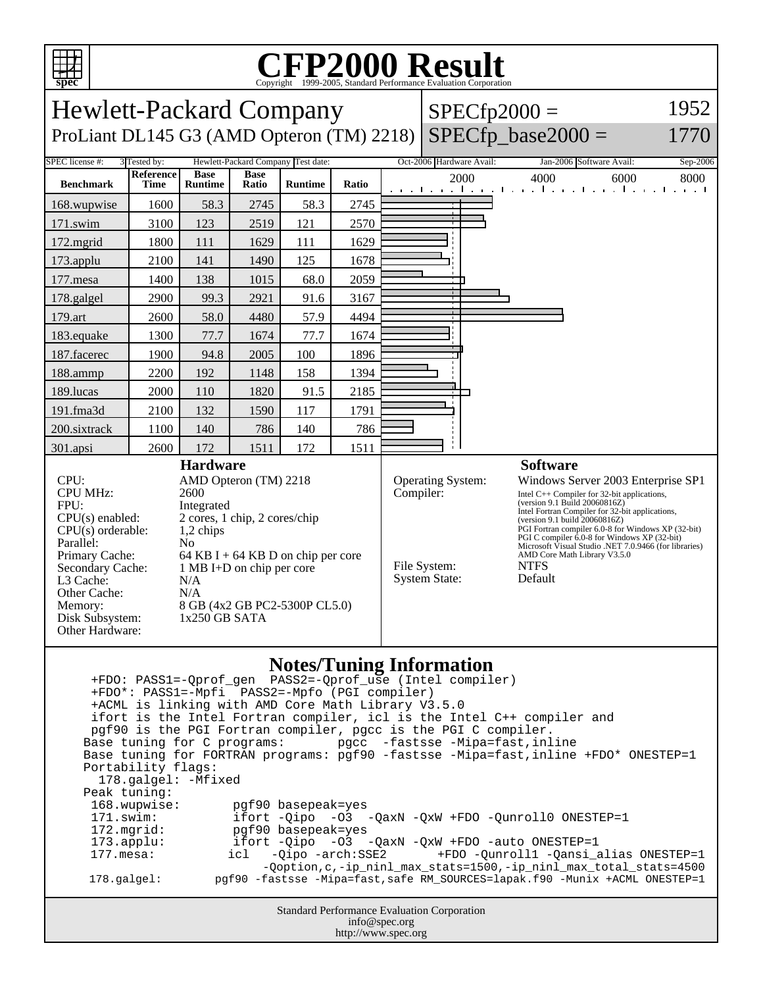

## C<sub>opyright</sub> ©1999-2005, Standard Performance Evaluation Corporation

| <b>Hewlett-Packard Company</b><br>$SPECfp2000 =$                                                                                                                                                                                                                                                                                                                                                                                                                                                                                                                                                                                                                                                                                                                                                                                                                                                                                                                                                                                                                     |                          |                               |                      |                |                                                                                                                                                                                                                                                                                                                                                                                                                                                                                                      |  |  |                          |      |                                                                  | 1952     |
|----------------------------------------------------------------------------------------------------------------------------------------------------------------------------------------------------------------------------------------------------------------------------------------------------------------------------------------------------------------------------------------------------------------------------------------------------------------------------------------------------------------------------------------------------------------------------------------------------------------------------------------------------------------------------------------------------------------------------------------------------------------------------------------------------------------------------------------------------------------------------------------------------------------------------------------------------------------------------------------------------------------------------------------------------------------------|--------------------------|-------------------------------|----------------------|----------------|------------------------------------------------------------------------------------------------------------------------------------------------------------------------------------------------------------------------------------------------------------------------------------------------------------------------------------------------------------------------------------------------------------------------------------------------------------------------------------------------------|--|--|--------------------------|------|------------------------------------------------------------------|----------|
| $SPECfp\_base2000 =$<br>ProLiant DL145 G3 (AMD Opteron (TM) 2218)<br>1770                                                                                                                                                                                                                                                                                                                                                                                                                                                                                                                                                                                                                                                                                                                                                                                                                                                                                                                                                                                            |                          |                               |                      |                |                                                                                                                                                                                                                                                                                                                                                                                                                                                                                                      |  |  |                          |      |                                                                  |          |
| SPEC license #:<br>3 Tested by:<br>Hewlett-Packard Company Test date:                                                                                                                                                                                                                                                                                                                                                                                                                                                                                                                                                                                                                                                                                                                                                                                                                                                                                                                                                                                                |                          |                               |                      |                |                                                                                                                                                                                                                                                                                                                                                                                                                                                                                                      |  |  | Oct-2006 Hardware Avail: |      | Jan-2006 Software Avail:                                         | Sep-2006 |
| <b>Benchmark</b>                                                                                                                                                                                                                                                                                                                                                                                                                                                                                                                                                                                                                                                                                                                                                                                                                                                                                                                                                                                                                                                     | Reference<br><b>Time</b> | <b>Base</b><br><b>Runtime</b> | <b>Base</b><br>Ratio | <b>Runtime</b> | Ratio                                                                                                                                                                                                                                                                                                                                                                                                                                                                                                |  |  | 2000                     | 4000 | 6000<br>and the real construction of a new fixed construction of | 8000     |
| 168.wupwise                                                                                                                                                                                                                                                                                                                                                                                                                                                                                                                                                                                                                                                                                                                                                                                                                                                                                                                                                                                                                                                          | 1600                     | 58.3                          | 2745                 | 58.3           | 2745                                                                                                                                                                                                                                                                                                                                                                                                                                                                                                 |  |  |                          |      |                                                                  |          |
| 171.swim                                                                                                                                                                                                                                                                                                                                                                                                                                                                                                                                                                                                                                                                                                                                                                                                                                                                                                                                                                                                                                                             | 3100                     | 123                           | 2519                 | 121            | 2570                                                                                                                                                                                                                                                                                                                                                                                                                                                                                                 |  |  |                          |      |                                                                  |          |
| $172$ .mgrid                                                                                                                                                                                                                                                                                                                                                                                                                                                                                                                                                                                                                                                                                                                                                                                                                                                                                                                                                                                                                                                         | 1800                     | 111                           | 1629                 | 111            | 1629                                                                                                                                                                                                                                                                                                                                                                                                                                                                                                 |  |  |                          |      |                                                                  |          |
| 173.applu                                                                                                                                                                                                                                                                                                                                                                                                                                                                                                                                                                                                                                                                                                                                                                                                                                                                                                                                                                                                                                                            | 2100                     | 141                           | 1490                 | 125            | 1678                                                                                                                                                                                                                                                                                                                                                                                                                                                                                                 |  |  |                          |      |                                                                  |          |
| 177.mesa                                                                                                                                                                                                                                                                                                                                                                                                                                                                                                                                                                                                                                                                                                                                                                                                                                                                                                                                                                                                                                                             | 1400                     | 138                           | 1015                 | 68.0           | 2059                                                                                                                                                                                                                                                                                                                                                                                                                                                                                                 |  |  |                          |      |                                                                  |          |
| 178.galgel                                                                                                                                                                                                                                                                                                                                                                                                                                                                                                                                                                                                                                                                                                                                                                                                                                                                                                                                                                                                                                                           | 2900                     | 99.3                          | 2921                 | 91.6           | 3167                                                                                                                                                                                                                                                                                                                                                                                                                                                                                                 |  |  |                          |      |                                                                  |          |
| 179.art                                                                                                                                                                                                                                                                                                                                                                                                                                                                                                                                                                                                                                                                                                                                                                                                                                                                                                                                                                                                                                                              | 2600                     | 58.0                          | 4480                 | 57.9           | 4494                                                                                                                                                                                                                                                                                                                                                                                                                                                                                                 |  |  |                          |      |                                                                  |          |
| 183.equake                                                                                                                                                                                                                                                                                                                                                                                                                                                                                                                                                                                                                                                                                                                                                                                                                                                                                                                                                                                                                                                           | 1300                     | 77.7                          | 1674                 | 77.7           | 1674                                                                                                                                                                                                                                                                                                                                                                                                                                                                                                 |  |  |                          |      |                                                                  |          |
| 187.facerec                                                                                                                                                                                                                                                                                                                                                                                                                                                                                                                                                                                                                                                                                                                                                                                                                                                                                                                                                                                                                                                          | 1900                     | 94.8                          | 2005                 | 100            | 1896                                                                                                                                                                                                                                                                                                                                                                                                                                                                                                 |  |  |                          |      |                                                                  |          |
| 188.ammp                                                                                                                                                                                                                                                                                                                                                                                                                                                                                                                                                                                                                                                                                                                                                                                                                                                                                                                                                                                                                                                             | 2200                     | 192                           | 1148                 | 158            | 1394                                                                                                                                                                                                                                                                                                                                                                                                                                                                                                 |  |  |                          |      |                                                                  |          |
| 189.lucas                                                                                                                                                                                                                                                                                                                                                                                                                                                                                                                                                                                                                                                                                                                                                                                                                                                                                                                                                                                                                                                            | 2000                     | 110                           | 1820                 | 91.5           | 2185                                                                                                                                                                                                                                                                                                                                                                                                                                                                                                 |  |  |                          |      |                                                                  |          |
| 191.fma3d                                                                                                                                                                                                                                                                                                                                                                                                                                                                                                                                                                                                                                                                                                                                                                                                                                                                                                                                                                                                                                                            | 2100                     | 132                           | 1590                 | 117            | 1791                                                                                                                                                                                                                                                                                                                                                                                                                                                                                                 |  |  |                          |      |                                                                  |          |
| 200.sixtrack                                                                                                                                                                                                                                                                                                                                                                                                                                                                                                                                                                                                                                                                                                                                                                                                                                                                                                                                                                                                                                                         | 1100                     | 140                           | 786                  | 140            | 786                                                                                                                                                                                                                                                                                                                                                                                                                                                                                                  |  |  |                          |      |                                                                  |          |
| 301.apsi                                                                                                                                                                                                                                                                                                                                                                                                                                                                                                                                                                                                                                                                                                                                                                                                                                                                                                                                                                                                                                                             | 2600                     | 172                           | 1511                 | 172            | 1511                                                                                                                                                                                                                                                                                                                                                                                                                                                                                                 |  |  |                          |      |                                                                  |          |
| CPU:<br>AMD Opteron (TM) 2218<br><b>CPU MHz:</b><br>2600<br>FPU:<br>Integrated<br>2 cores, 1 chip, 2 cores/chip<br>$CPU(s)$ enabled:<br>$CPU(s)$ orderable:<br>1,2 chips<br>Parallel:<br>N <sub>0</sub><br>Primary Cache:<br>64 KB I + 64 KB D on chip per core<br>Secondary Cache:<br>1 MB I+D on chip per core<br>L <sub>3</sub> Cache:<br>N/A<br>Other Cache:<br>N/A<br>8 GB (4x2 GB PC2-5300P CL5.0)<br>Memory:<br>Disk Subsystem:<br>$1x250$ GB SATA<br>Other Hardware:                                                                                                                                                                                                                                                                                                                                                                                                                                                                                                                                                                                         |                          |                               |                      |                | Operating System:<br>Windows Server 2003 Enterprise SP1<br>Compiler:<br>Intel $C++$ Compiler for 32-bit applications,<br>(version 9.1 Build 20060816Z)<br>Intel Fortran Compiler for 32-bit applications,<br>(version 9.1 build 20060816Z)<br>PGI Fortran compiler 6.0-8 for Windows XP (32-bit)<br>PGI C compiler 6.0-8 for Windows XP (32-bit)<br>Microsoft Visual Studio .NET 7.0.9466 (for libraries)<br>AMD Core Math Library V3.5.0<br>File System:<br><b>NTFS</b><br>System State:<br>Default |  |  |                          |      |                                                                  |          |
| <b>Notes/Tuning Information</b><br>+FDO*: PASS1=-Mpfi PASS2=-Mpfo (PGI compiler)<br>+ACML is linking with AMD Core Math Library V3.5.0<br>ifort is the Intel Fortran compiler, icl is the Intel C++ compiler and<br>pqf90 is the PGI Fortran compiler, pqcc is the PGI C compiler.<br>Base tuning for C programs:<br>pgcc -fastsse -Mipa=fast,inline<br>Base tuning for FORTRAN programs: pgf90 -fastsse -Mipa=fast, inline +FDO* ONESTEP=1<br>Portability flags:<br>178.galgel: - Mfixed<br>Peak tuning:<br>168.wupwise:<br>pgf90 basepeak=yes<br>171.swim:<br>ifort -Qipo -03 -QaxN -QxW +FDO -Qunroll0 ONESTEP=1<br>pgf90 basepeak=yes<br>172.mgrid:<br>ifort -Qipo -03 -QaxN -QxW +FDO -auto ONESTEP=1<br>$173.\text{applu}:$<br>$177.\text{mesa}$ :<br>$-Oipo -arch: SSE2$<br>+FDO -Qunroll1 -Qansi_alias ONESTEP=1<br>icl<br>-Qoption, c, -ip_ninl_max_stats=1500, -ip_ninl_max_total_stats=4500<br>pgf90 -fastsse -Mipa=fast, safe RM_SOURCES=lapak.f90 -Munix +ACML ONESTEP=1<br>178.galgel:<br>Standard Performance Evaluation Corporation<br>info@spec.org |                          |                               |                      |                |                                                                                                                                                                                                                                                                                                                                                                                                                                                                                                      |  |  |                          |      |                                                                  |          |
|                                                                                                                                                                                                                                                                                                                                                                                                                                                                                                                                                                                                                                                                                                                                                                                                                                                                                                                                                                                                                                                                      |                          |                               |                      |                | http://www.spec.org                                                                                                                                                                                                                                                                                                                                                                                                                                                                                  |  |  |                          |      |                                                                  |          |